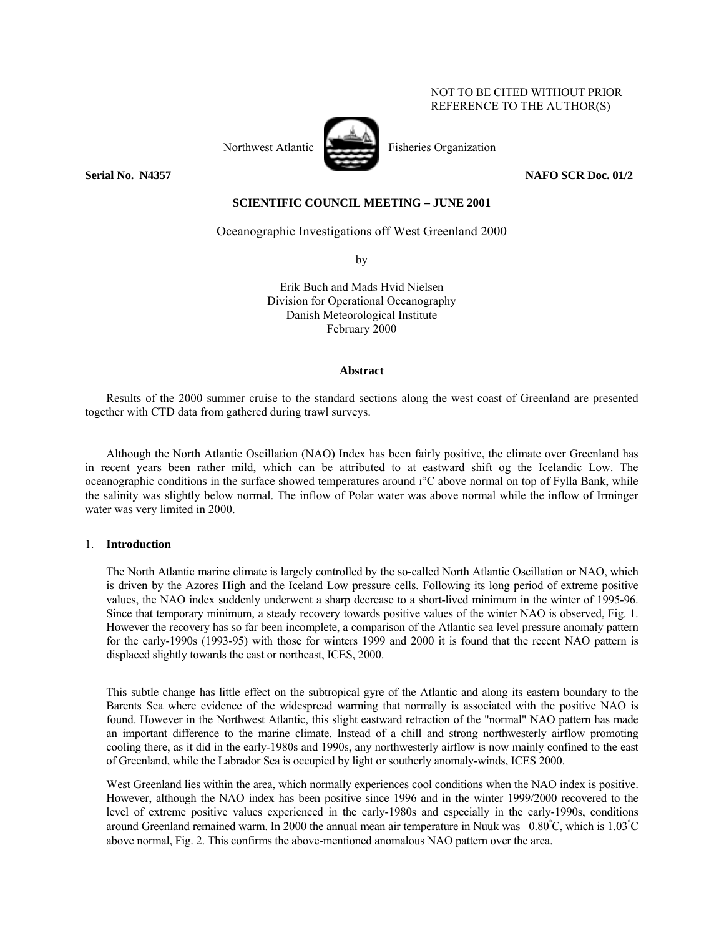# NOT TO BE CITED WITHOUT PRIOR REFERENCE TO THE AUTHOR(S)



**Serial No. N4357** NAFO SCR Doc. 01/2

# **SCIENTIFIC COUNCIL MEETING – JUNE 2001**

Oceanographic Investigations off West Greenland 2000

by

Erik Buch and Mads Hvid Nielsen Division for Operational Oceanography Danish Meteorological Institute February 2000

#### **Abstract**

Results of the 2000 summer cruise to the standard sections along the west coast of Greenland are presented together with CTD data from gathered during trawl surveys.

Although the North Atlantic Oscillation (NAO) Index has been fairly positive, the climate over Greenland has in recent years been rather mild, which can be attributed to at eastward shift og the Icelandic Low. The oceanographic conditions in the surface showed temperatures around  $1^{\circ}C$  above normal on top of Fylla Bank, while the salinity was slightly below normal. The inflow of Polar water was above normal while the inflow of Irminger water was very limited in 2000.

### 1. **Introduction**

The North Atlantic marine climate is largely controlled by the so-called North Atlantic Oscillation or NAO, which is driven by the Azores High and the Iceland Low pressure cells. Following its long period of extreme positive values, the NAO index suddenly underwent a sharp decrease to a short-lived minimum in the winter of 1995-96. Since that temporary minimum, a steady recovery towards positive values of the winter NAO is observed, Fig. 1. However the recovery has so far been incomplete, a comparison of the Atlantic sea level pressure anomaly pattern for the early-1990s (1993-95) with those for winters 1999 and 2000 it is found that the recent NAO pattern is displaced slightly towards the east or northeast, ICES, 2000.

This subtle change has little effect on the subtropical gyre of the Atlantic and along its eastern boundary to the Barents Sea where evidence of the widespread warming that normally is associated with the positive NAO is found. However in the Northwest Atlantic, this slight eastward retraction of the "normal" NAO pattern has made an important difference to the marine climate. Instead of a chill and strong northwesterly airflow promoting cooling there, as it did in the early-1980s and 1990s, any northwesterly airflow is now mainly confined to the east of Greenland, while the Labrador Sea is occupied by light or southerly anomaly-winds, ICES 2000.

West Greenland lies within the area, which normally experiences cool conditions when the NAO index is positive. However, although the NAO index has been positive since 1996 and in the winter 1999/2000 recovered to the level of extreme positive values experienced in the early-1980s and especially in the early-1990s, conditions around Greenland remained warm. In 2000 the annual mean air temperature in Nuuk was  $-0.80^{\circ}$ C, which is  $1.03^{\circ}$ C above normal, Fig. 2. This confirms the above-mentioned anomalous NAO pattern over the area.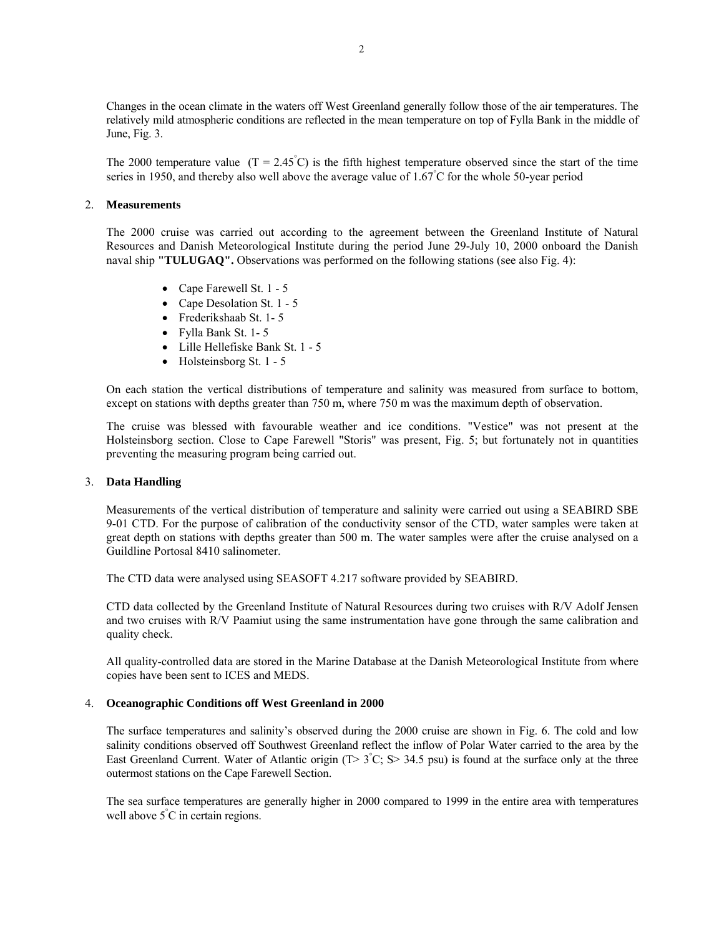Changes in the ocean climate in the waters off West Greenland generally follow those of the air temperatures. The relatively mild atmospheric conditions are reflected in the mean temperature on top of Fylla Bank in the middle of June, Fig. 3.

The 2000 temperature value  $(T = 2.45^{\circ}C)$  is the fifth highest temperature observed since the start of the time series in 1950, and thereby also well above the average value of 1.67°C for the whole 50-year period

### 2. **Measurements**

The 2000 cruise was carried out according to the agreement between the Greenland Institute of Natural Resources and Danish Meteorological Institute during the period June 29-July 10, 2000 onboard the Danish naval ship **"TULUGAQ".** Observations was performed on the following stations (see also Fig. 4):

- Cape Farewell St. 1 5
- Cape Desolation St. 1 5
- Frederikshaab St. 1- 5
- Fylla Bank St. 1- 5
- Lille Hellefiske Bank St. 1 5
- Holsteinsborg St. 1 5

On each station the vertical distributions of temperature and salinity was measured from surface to bottom, except on stations with depths greater than 750 m, where 750 m was the maximum depth of observation.

The cruise was blessed with favourable weather and ice conditions. "Vestice" was not present at the Holsteinsborg section. Close to Cape Farewell "Storis" was present, Fig. 5; but fortunately not in quantities preventing the measuring program being carried out.

# 3. **Data Handling**

Measurements of the vertical distribution of temperature and salinity were carried out using a SEABIRD SBE 9-01 CTD. For the purpose of calibration of the conductivity sensor of the CTD, water samples were taken at great depth on stations with depths greater than 500 m. The water samples were after the cruise analysed on a Guildline Portosal 8410 salinometer.

The CTD data were analysed using SEASOFT 4.217 software provided by SEABIRD.

CTD data collected by the Greenland Institute of Natural Resources during two cruises with R/V Adolf Jensen and two cruises with R/V Paamiut using the same instrumentation have gone through the same calibration and quality check.

All quality-controlled data are stored in the Marine Database at the Danish Meteorological Institute from where copies have been sent to ICES and MEDS.

# 4. **Oceanographic Conditions off West Greenland in 2000**

The surface temperatures and salinity's observed during the 2000 cruise are shown in Fig. 6. The cold and low salinity conditions observed off Southwest Greenland reflect the inflow of Polar Water carried to the area by the East Greenland Current. Water of Atlantic origin  $(T> 3^{\circ}C; S> 34.5 \text{ psu})$  is found at the surface only at the three outermost stations on the Cape Farewell Section.

The sea surface temperatures are generally higher in 2000 compared to 1999 in the entire area with temperatures well above  $5^{\degree}$ C in certain regions.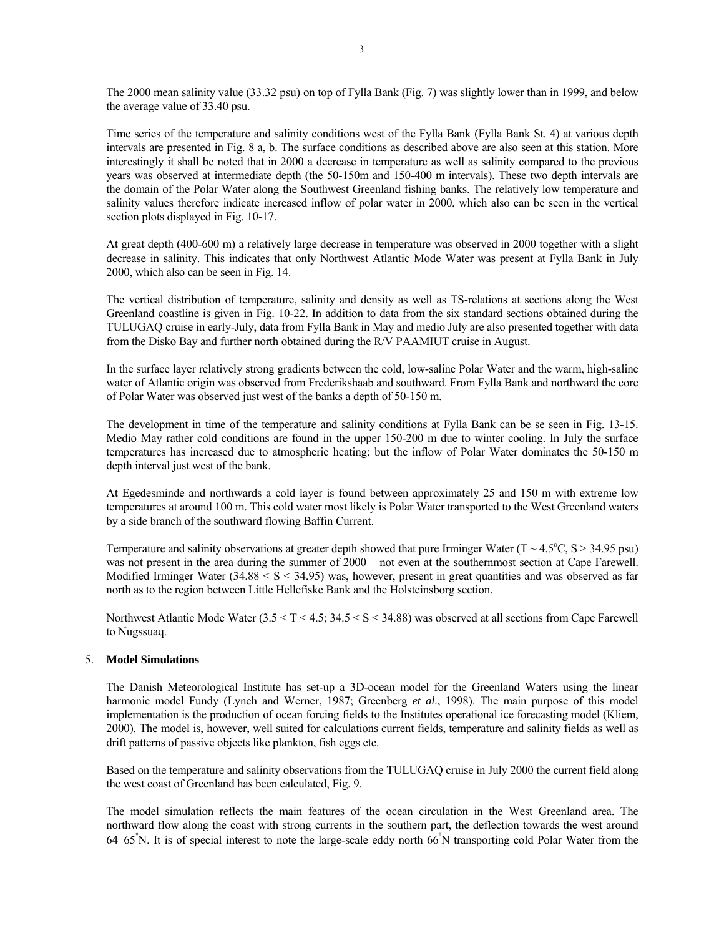The 2000 mean salinity value (33.32 psu) on top of Fylla Bank (Fig. 7) was slightly lower than in 1999, and below the average value of 33.40 psu.

Time series of the temperature and salinity conditions west of the Fylla Bank (Fylla Bank St. 4) at various depth intervals are presented in Fig. 8 a, b. The surface conditions as described above are also seen at this station. More interestingly it shall be noted that in 2000 a decrease in temperature as well as salinity compared to the previous years was observed at intermediate depth (the 50-150m and 150-400 m intervals). These two depth intervals are the domain of the Polar Water along the Southwest Greenland fishing banks. The relatively low temperature and salinity values therefore indicate increased inflow of polar water in 2000, which also can be seen in the vertical section plots displayed in Fig. 10-17.

At great depth (400-600 m) a relatively large decrease in temperature was observed in 2000 together with a slight decrease in salinity. This indicates that only Northwest Atlantic Mode Water was present at Fylla Bank in July 2000, which also can be seen in Fig. 14.

The vertical distribution of temperature, salinity and density as well as TS-relations at sections along the West Greenland coastline is given in Fig. 10-22. In addition to data from the six standard sections obtained during the TULUGAQ cruise in early-July, data from Fylla Bank in May and medio July are also presented together with data from the Disko Bay and further north obtained during the R/V PAAMIUT cruise in August.

In the surface layer relatively strong gradients between the cold, low-saline Polar Water and the warm, high-saline water of Atlantic origin was observed from Frederikshaab and southward. From Fylla Bank and northward the core of Polar Water was observed just west of the banks a depth of 50-150 m.

The development in time of the temperature and salinity conditions at Fylla Bank can be se seen in Fig. 13-15. Medio May rather cold conditions are found in the upper 150-200 m due to winter cooling. In July the surface temperatures has increased due to atmospheric heating; but the inflow of Polar Water dominates the 50-150 m depth interval just west of the bank.

At Egedesminde and northwards a cold layer is found between approximately 25 and 150 m with extreme low temperatures at around 100 m. This cold water most likely is Polar Water transported to the West Greenland waters by a side branch of the southward flowing Baffin Current.

Temperature and salinity observations at greater depth showed that pure Irminger Water  $(T \sim 4.5^{\circ}C, S > 34.95 \text{ psu})$ was not present in the area during the summer of 2000 – not even at the southernmost section at Cape Farewell. Modified Irminger Water  $(34.88 \le S \le 34.95)$  was, however, present in great quantities and was observed as far north as to the region between Little Hellefiske Bank and the Holsteinsborg section.

Northwest Atlantic Mode Water (3.5 < T < 4.5; 34.5 < S < 34.88) was observed at all sections from Cape Farewell to Nugssuaq.

# 5. **Model Simulations**

The Danish Meteorological Institute has set-up a 3D-ocean model for the Greenland Waters using the linear harmonic model Fundy (Lynch and Werner, 1987; Greenberg *et al*., 1998). The main purpose of this model implementation is the production of ocean forcing fields to the Institutes operational ice forecasting model (Kliem, 2000). The model is, however, well suited for calculations current fields, temperature and salinity fields as well as drift patterns of passive objects like plankton, fish eggs etc.

Based on the temperature and salinity observations from the TULUGAQ cruise in July 2000 the current field along the west coast of Greenland has been calculated, Fig. 9.

The model simulation reflects the main features of the ocean circulation in the West Greenland area. The northward flow along the coast with strong currents in the southern part, the deflection towards the west around 64–65°N. It is of special interest to note the large-scale eddy north 66°N transporting cold Polar Water from the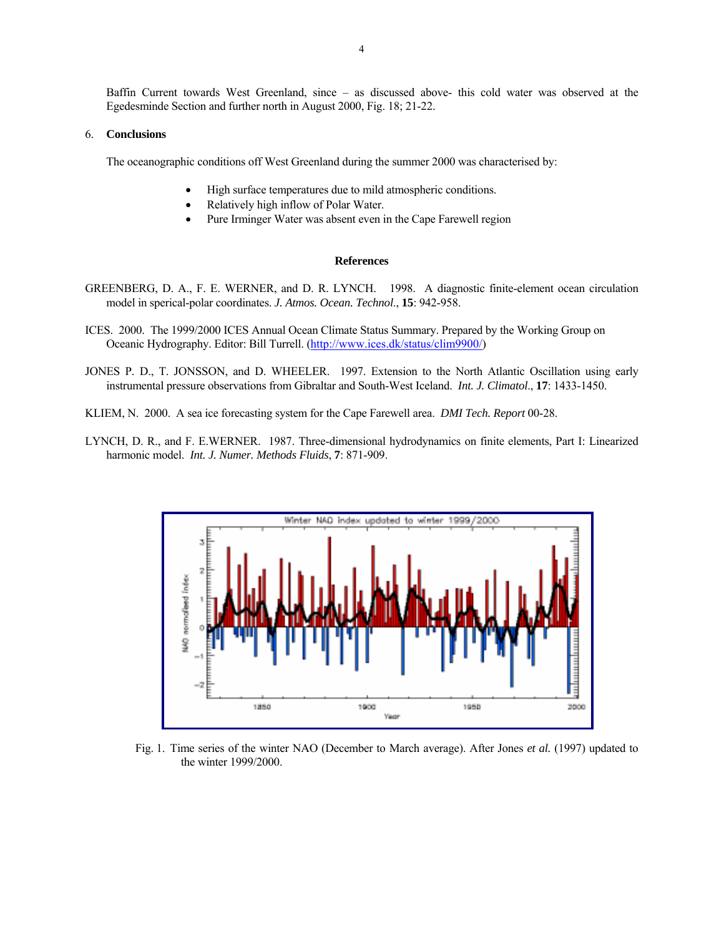4

Baffin Current towards West Greenland, since – as discussed above- this cold water was observed at the Egedesminde Section and further north in August 2000, Fig. 18; 21-22.

### 6. **Conclusions**

The oceanographic conditions off West Greenland during the summer 2000 was characterised by:

- High surface temperatures due to mild atmospheric conditions.
- Relatively high inflow of Polar Water.
- Pure Irminger Water was absent even in the Cape Farewell region

#### **References**

- GREENBERG, D. A., F. E. WERNER, and D. R. LYNCH. 1998. A diagnostic finite-element ocean circulation model in sperical-polar coordinates. *J. Atmos. Ocean. Technol*., **15**: 942-958.
- ICES. 2000. The 1999/2000 ICES Annual Ocean Climate Status Summary. Prepared by the Working Group on Oceanic Hydrography. Editor: Bill Turrell. (http://www.ices.dk/status/clim9900/)
- JONES P. D., T. JONSSON, and D. WHEELER. 1997. Extension to the North Atlantic Oscillation using early instrumental pressure observations from Gibraltar and South-West Iceland. *Int. J. Climatol*., **17**: 1433-1450.
- KLIEM, N. 2000. A sea ice forecasting system for the Cape Farewell area. *DMI Tech. Report* 00-28.
- LYNCH, D. R., and F. E.WERNER. 1987. Three-dimensional hydrodynamics on finite elements, Part I: Linearized harmonic model. *Int. J. Numer. Methods Fluids*, **7**: 871-909.



Fig. 1. Time series of the winter NAO (December to March average). After Jones *et al.* (1997) updated to the winter 1999/2000.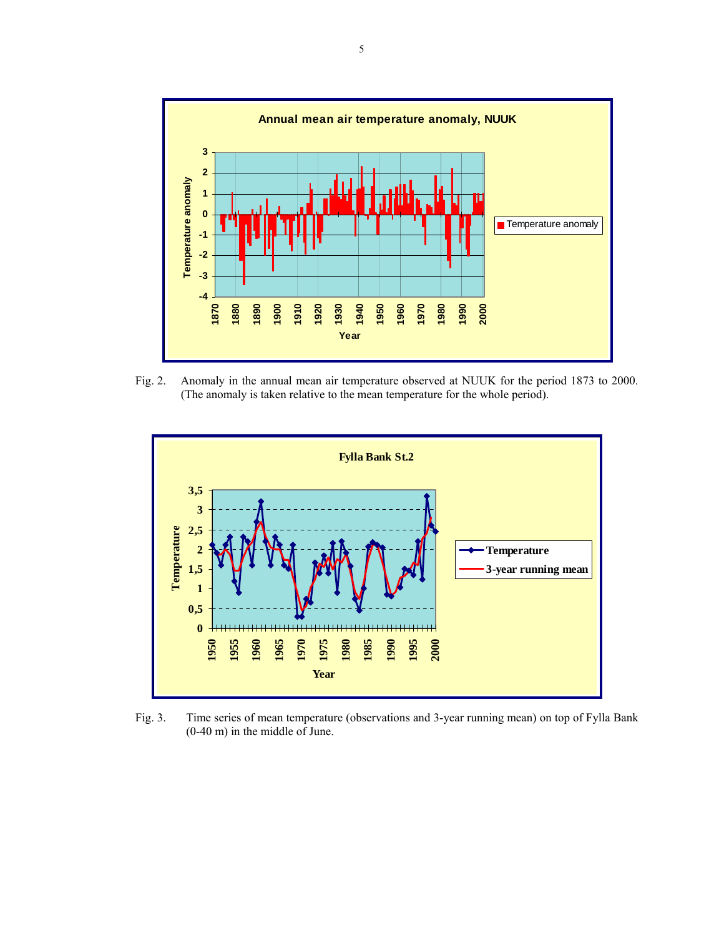

Fig. 2. Anomaly in the annual mean air temperature observed at NUUK for the period 1873 to 2000. (The anomaly is taken relative to the mean temperature for the whole period).



Fig. 3. Time series of mean temperature (observations and 3-year running mean) on top of Fylla Bank (0-40 m) in the middle of June.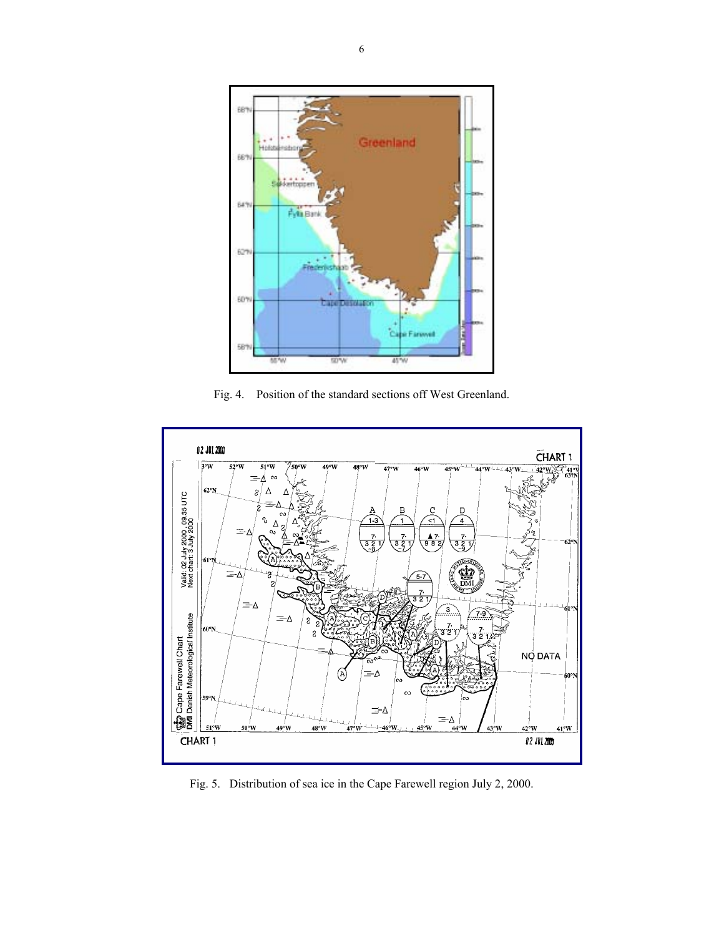

Fig. 4. Position of the standard sections off West Greenland.



Fig. 5. Distribution of sea ice in the Cape Farewell region July 2, 2000.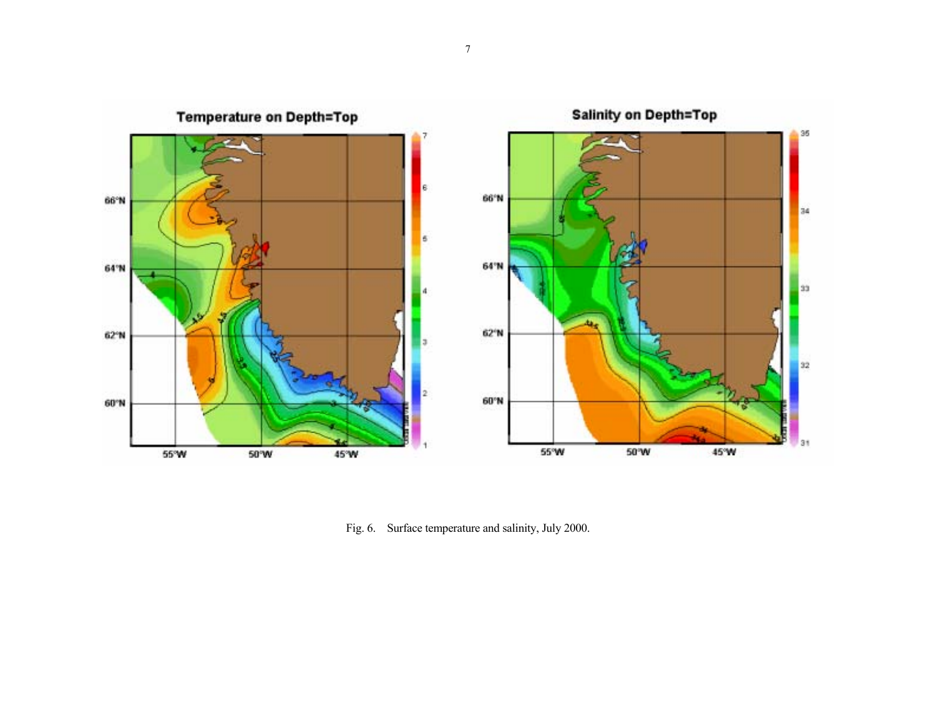

Fig. 6. Surface temperature and salinity, July 2000.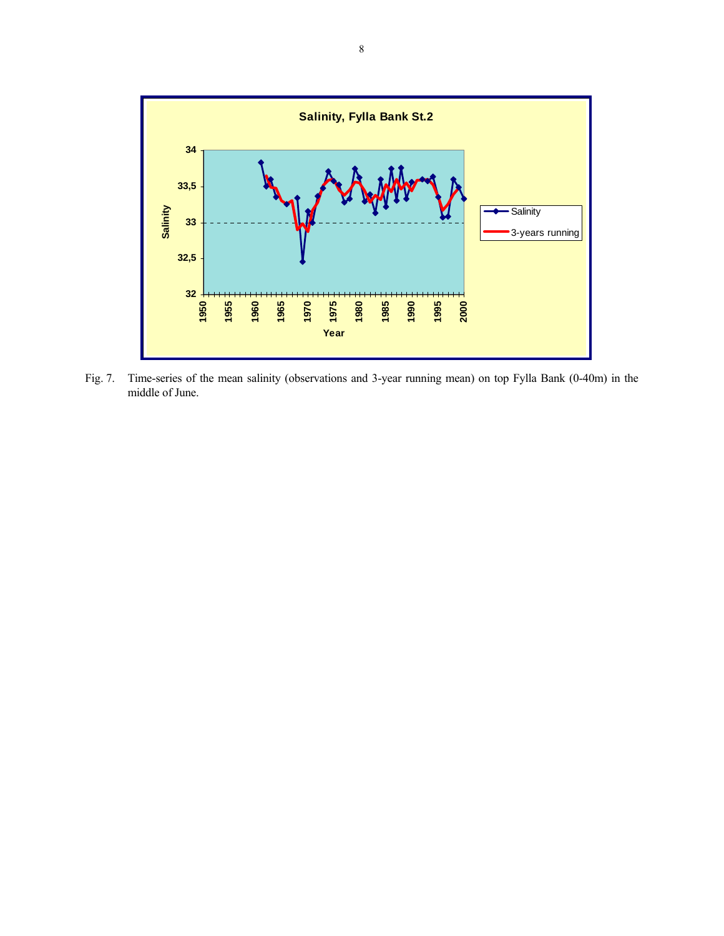

Fig. 7. Time-series of the mean salinity (observations and 3-year running mean) on top Fylla Bank (0-40m) in the middle of June.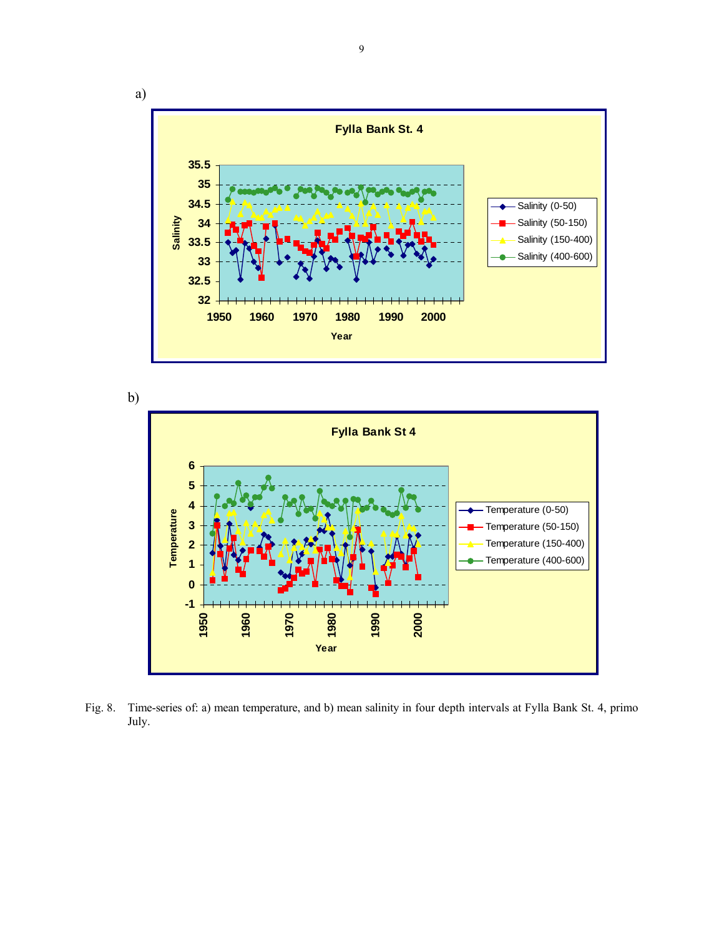





Fig. 8. Time-series of: a) mean temperature, and b) mean salinity in four depth intervals at Fylla Bank St. 4, primo July.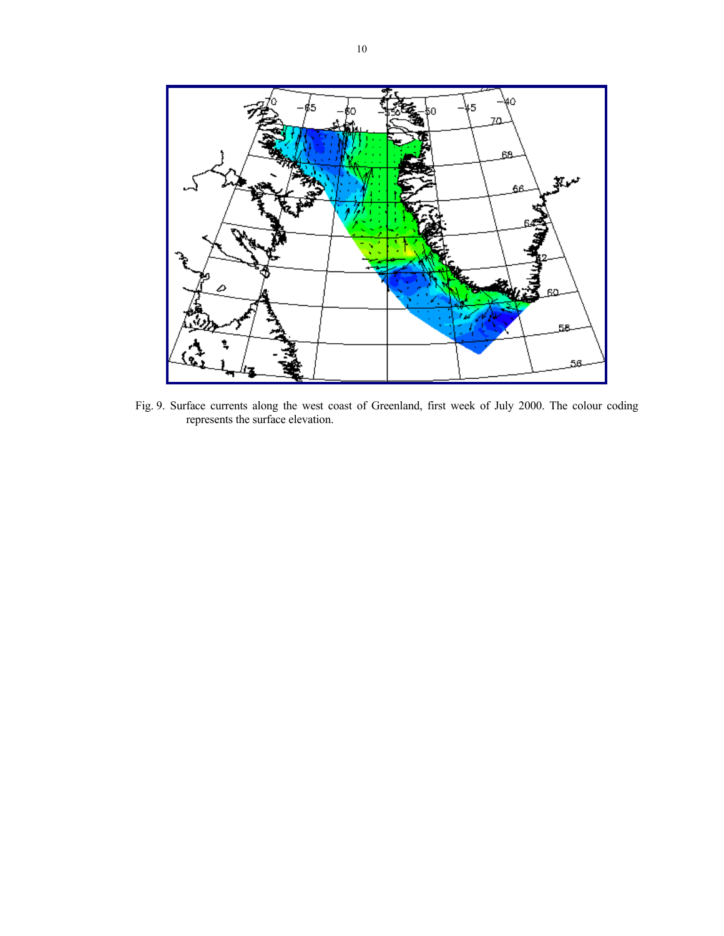

Fig. 9. Surface currents along the west coast of Greenland, first week of July 2000. The colour coding represents the surface elevation.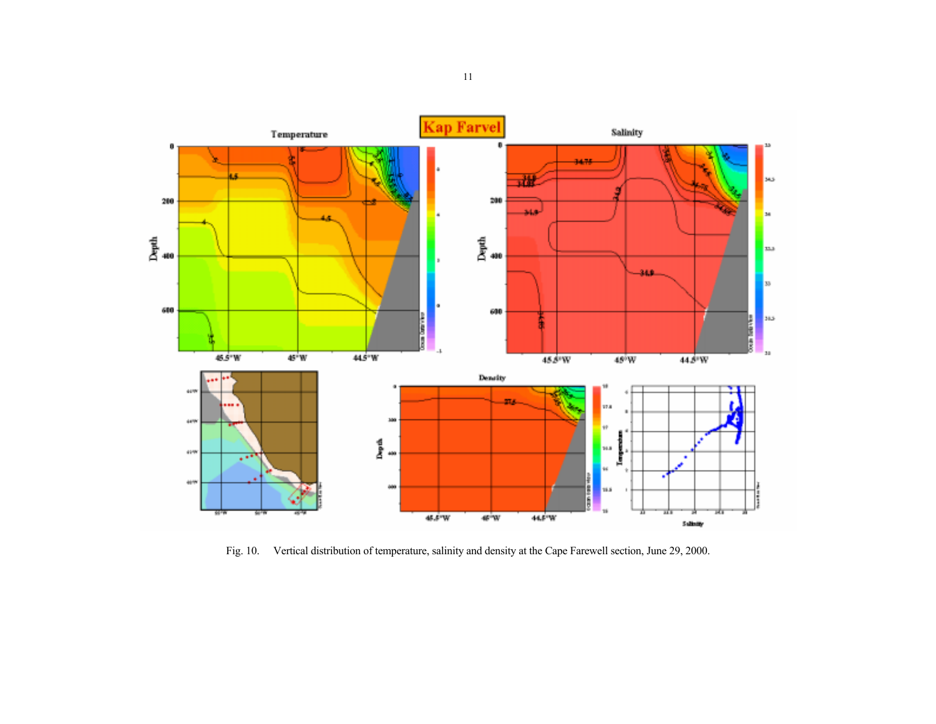

Fig. 10. Vertical distribution of temperature, salinity and density at the Cape Farewell section, June 29, 2000.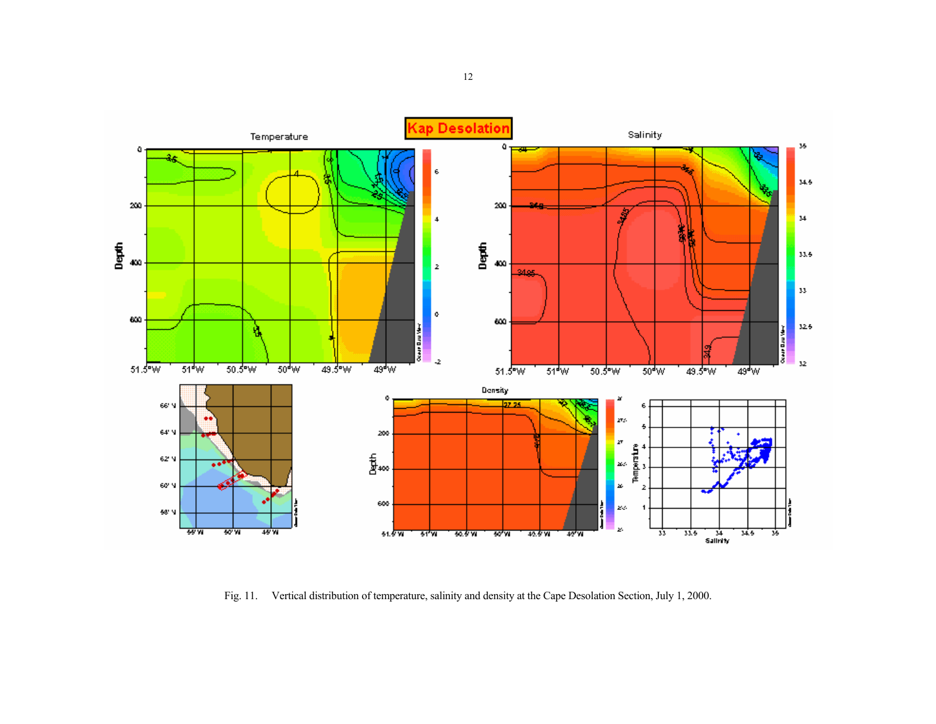

Fig. 11. Vertical distribution of temperature, salinity and density at the Cape Desolation Section, July 1, 2000.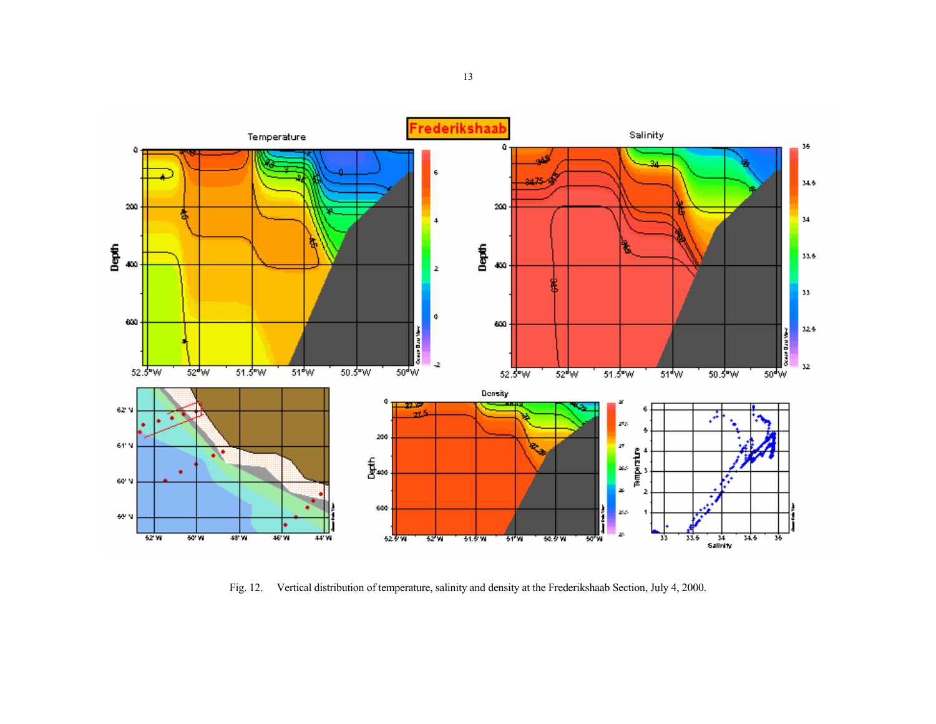

Fig. 12. Vertical distribution of temperature, salinity and density at the Frederikshaab Section, July 4, 2000.

13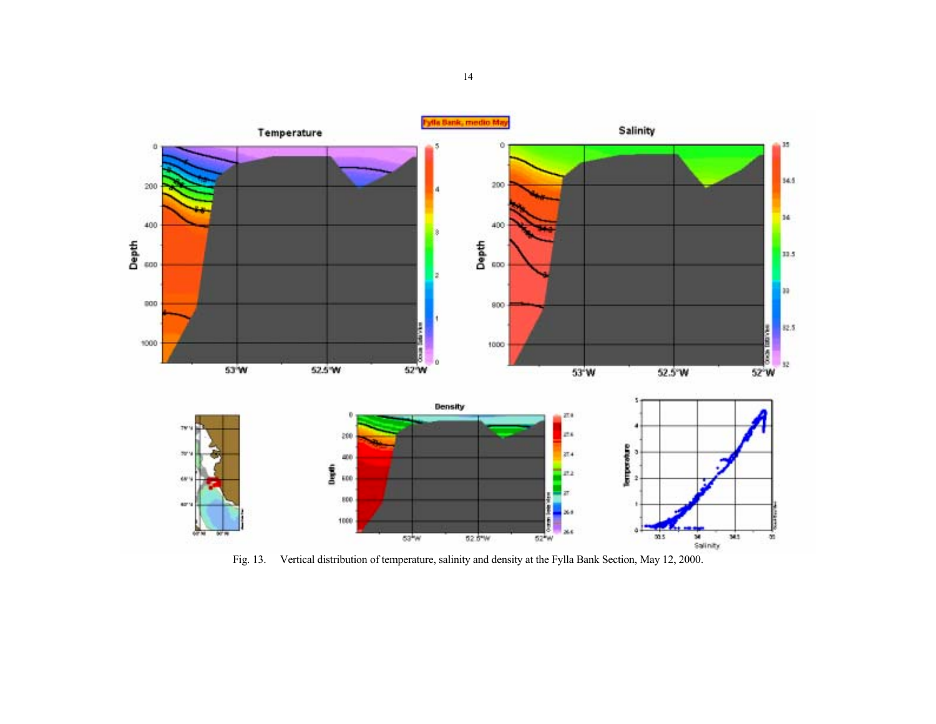

Fig. 13. Vertical distribution of temperature, salinity and density at the Fylla Bank Section, May 12, 2000.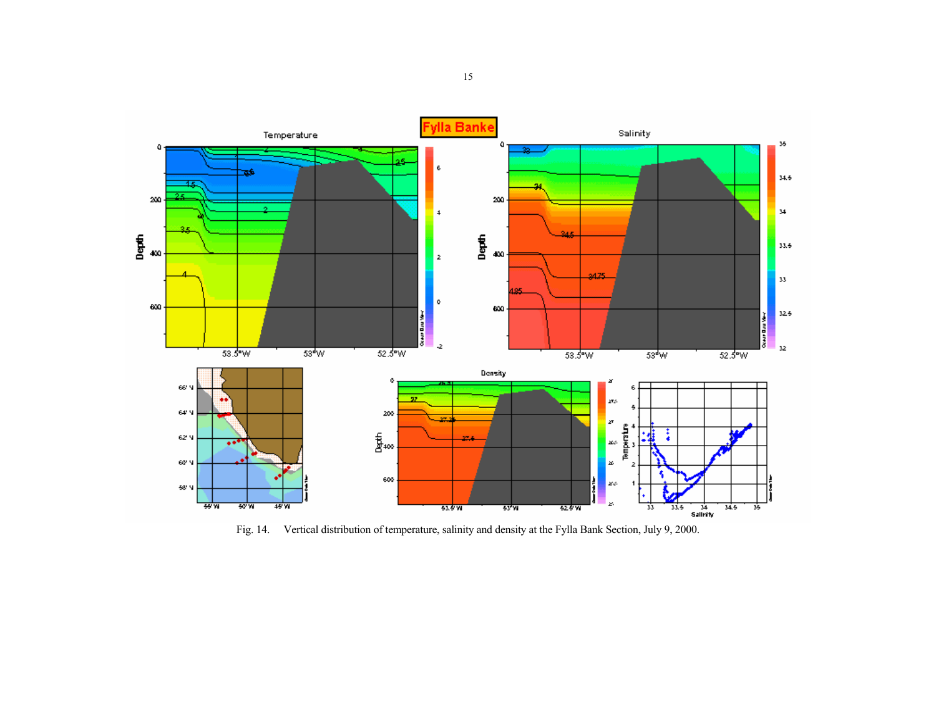

Fig. 14. Vertical distribution of temperature, salinity and density at the Fylla Bank Section, July 9, 2000.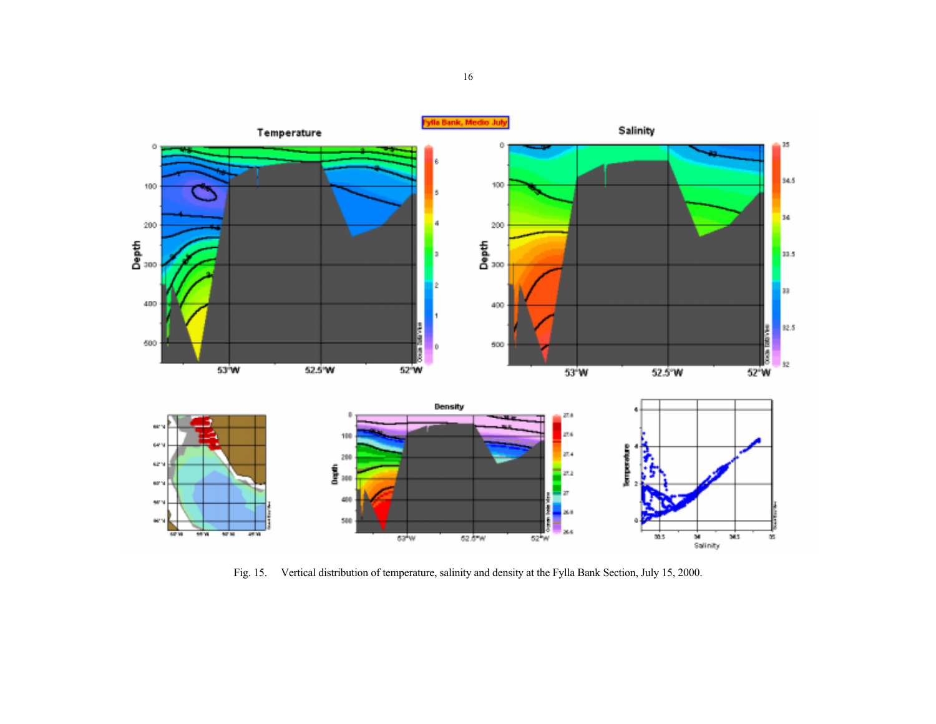

Fig. 15. Vertical distribution of temperature, salinity and density at the Fylla Bank Section, July 15, 2000.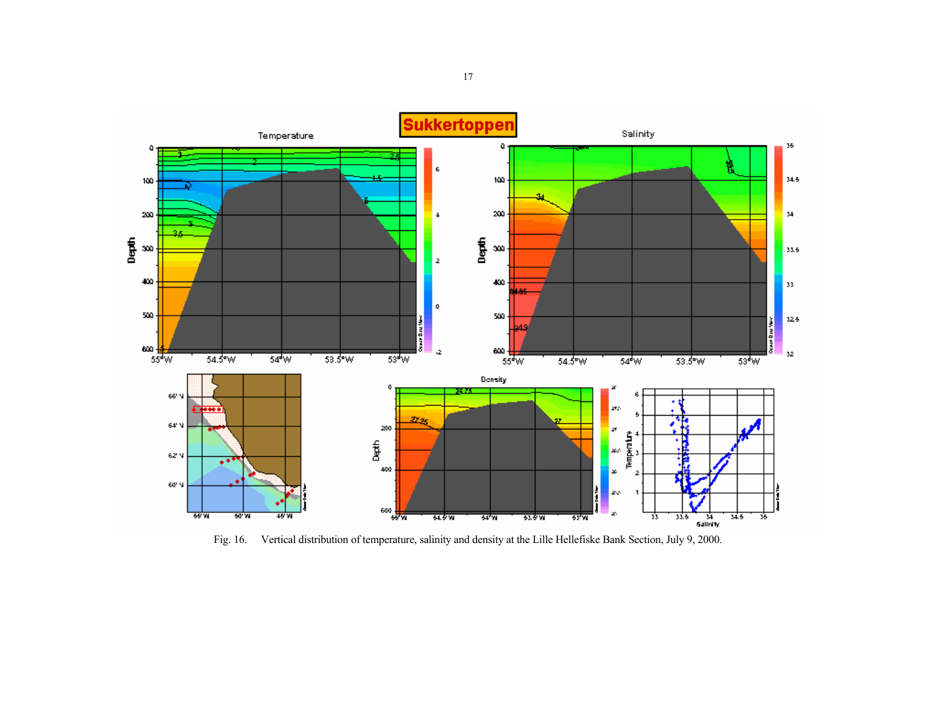

Fig. 16. Vertical distribution of temperature, salinity and density at the Lille Hellefiske Bank Section, July 9, 2000.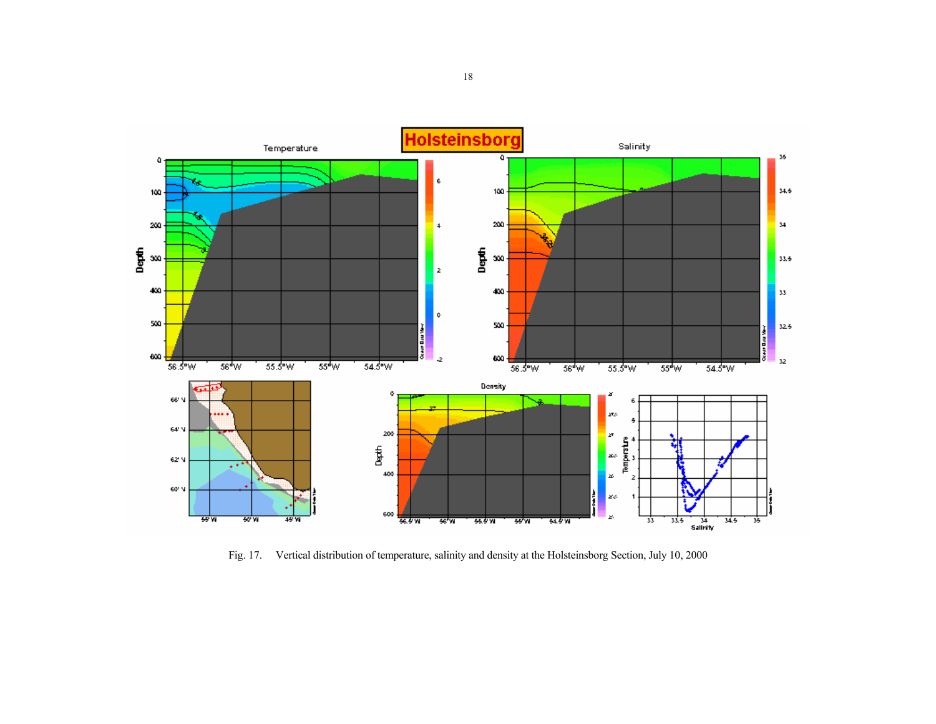

Fig. 17. Vertical distribution of temperature, salinity and density at the Holsteinsborg Section, July 10, 2000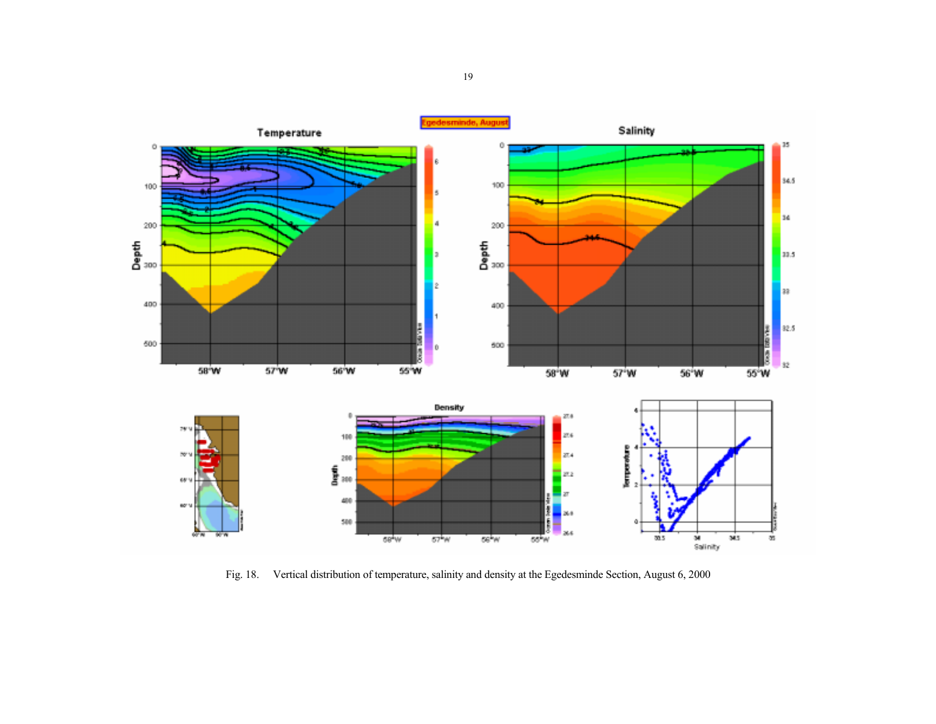

Fig. 18. Vertical distribution of temperature, salinity and density at the Egedesminde Section, August 6, 2000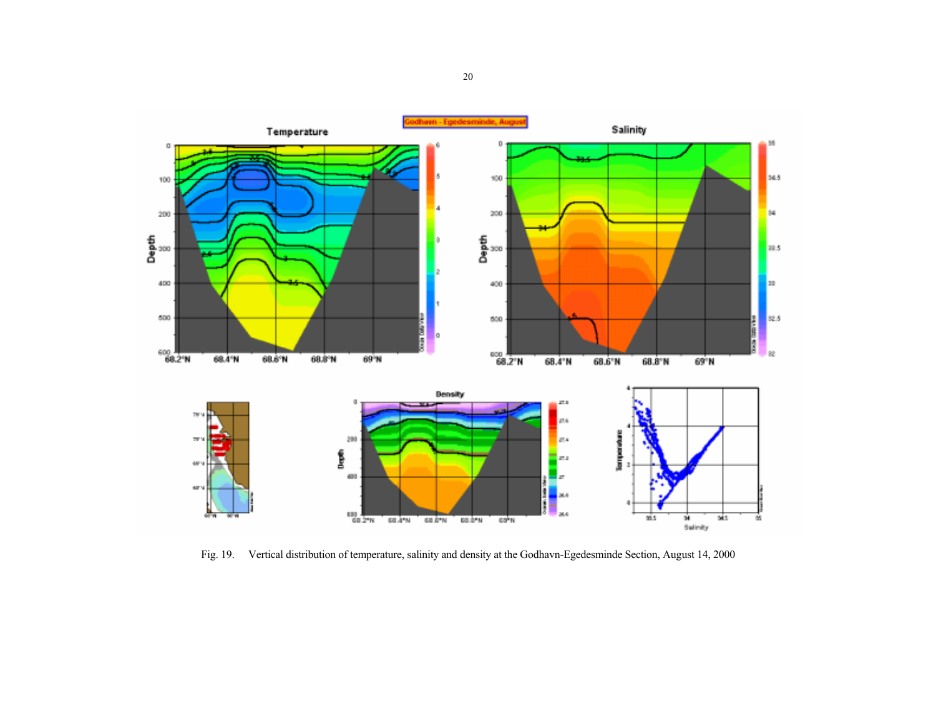

Fig. 19. Vertical distribution of temperature, salinity and density at the Godhavn-Egedesminde Section, August 14, 2000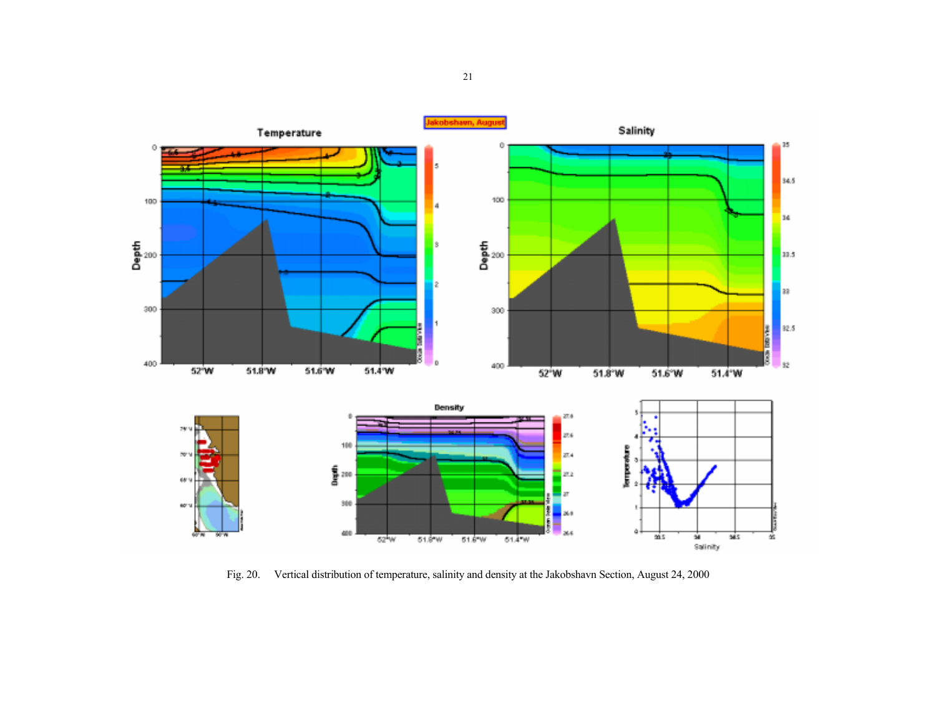

Fig. 20. Vertical distribution of temperature, salinity and density at the Jakobshavn Section, August 24, 2000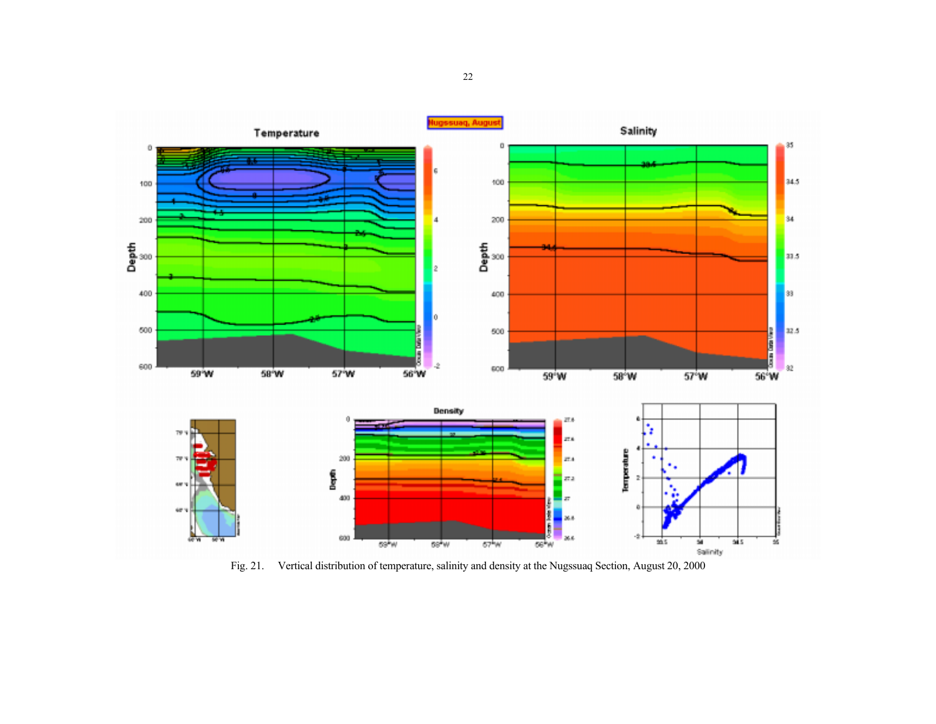

Fig. 21. Vertical distribution of temperature, salinity and density at the Nugssuaq Section, August 20, 2000